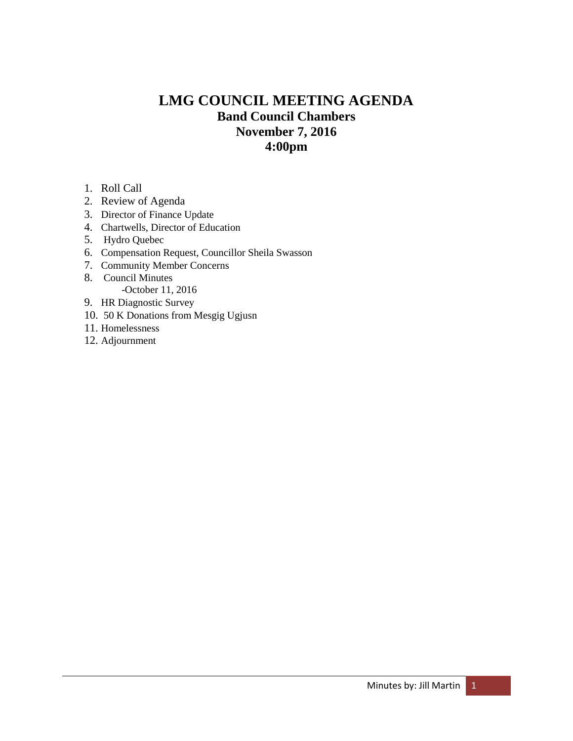# **LMG COUNCIL MEETING AGENDA Band Council Chambers November 7, 2016 4:00pm**

- 1. Roll Call
- 2. Review of Agenda
- 3. Director of Finance Update
- 4. Chartwells, Director of Education
- 5. Hydro Quebec
- 6. Compensation Request, Councillor Sheila Swasson
- 7. Community Member Concerns
- 8. Council Minutes -October 11, 2016
- 9. HR Diagnostic Survey
- 10. 50 K Donations from Mesgig Ugjusn
- 11. Homelessness
- 12. Adjournment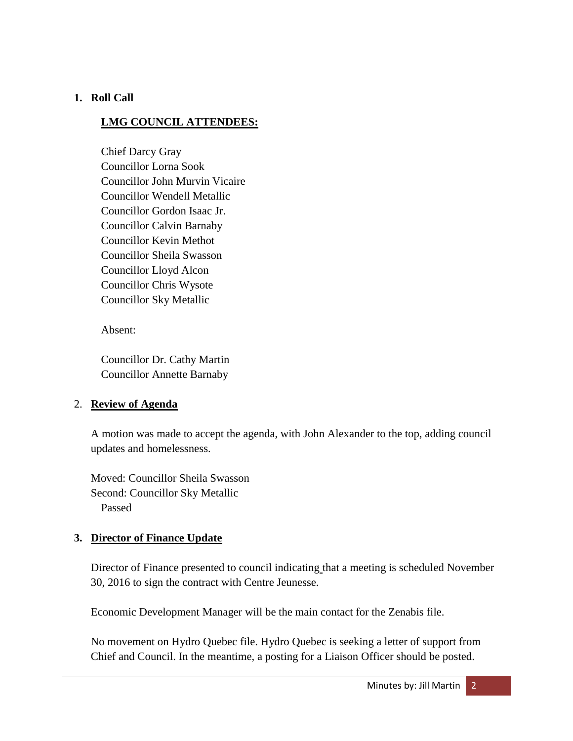## **1. Roll Call**

# **LMG COUNCIL ATTENDEES:**

Chief Darcy Gray Councillor Lorna Sook Councillor John Murvin Vicaire Councillor Wendell Metallic Councillor Gordon Isaac Jr. Councillor Calvin Barnaby Councillor Kevin Methot Councillor Sheila Swasson Councillor Lloyd Alcon Councillor Chris Wysote Councillor Sky Metallic

Absent:

Councillor Dr. Cathy Martin Councillor Annette Barnaby

# 2. **Review of Agenda**

A motion was made to accept the agenda, with John Alexander to the top, adding council updates and homelessness.

Moved: Councillor Sheila Swasson Second: Councillor Sky Metallic Passed

# **3. Director of Finance Update**

Director of Finance presented to council indicating that a meeting is scheduled November 30, 2016 to sign the contract with Centre Jeunesse.

Economic Development Manager will be the main contact for the Zenabis file.

No movement on Hydro Quebec file. Hydro Quebec is seeking a letter of support from Chief and Council. In the meantime, a posting for a Liaison Officer should be posted.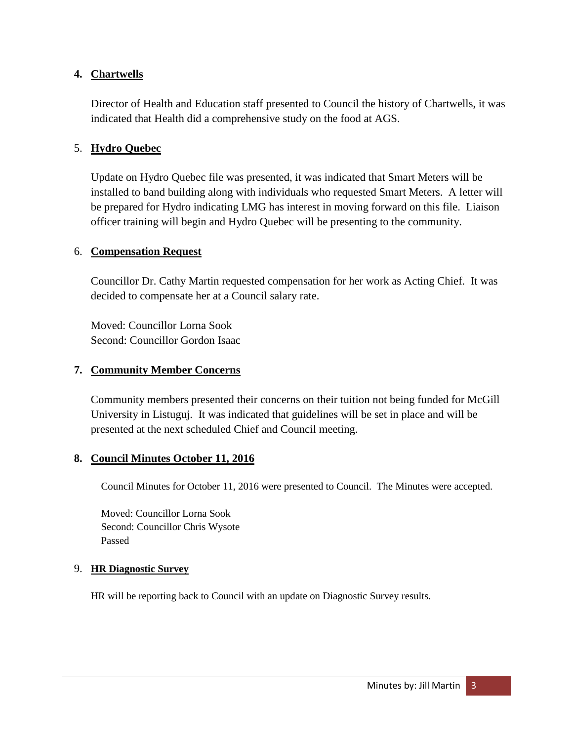# **4. Chartwells**

Director of Health and Education staff presented to Council the history of Chartwells, it was indicated that Health did a comprehensive study on the food at AGS.

# 5. **Hydro Quebec**

Update on Hydro Quebec file was presented, it was indicated that Smart Meters will be installed to band building along with individuals who requested Smart Meters. A letter will be prepared for Hydro indicating LMG has interest in moving forward on this file. Liaison officer training will begin and Hydro Quebec will be presenting to the community.

# 6. **Compensation Request**

Councillor Dr. Cathy Martin requested compensation for her work as Acting Chief. It was decided to compensate her at a Council salary rate.

Moved: Councillor Lorna Sook Second: Councillor Gordon Isaac

## **7. Community Member Concerns**

Community members presented their concerns on their tuition not being funded for McGill University in Listuguj. It was indicated that guidelines will be set in place and will be presented at the next scheduled Chief and Council meeting.

#### **8. Council Minutes October 11, 2016**

Council Minutes for October 11, 2016 were presented to Council. The Minutes were accepted.

Moved: Councillor Lorna Sook Second: Councillor Chris Wysote Passed

#### 9. **HR Diagnostic Survey**

HR will be reporting back to Council with an update on Diagnostic Survey results.